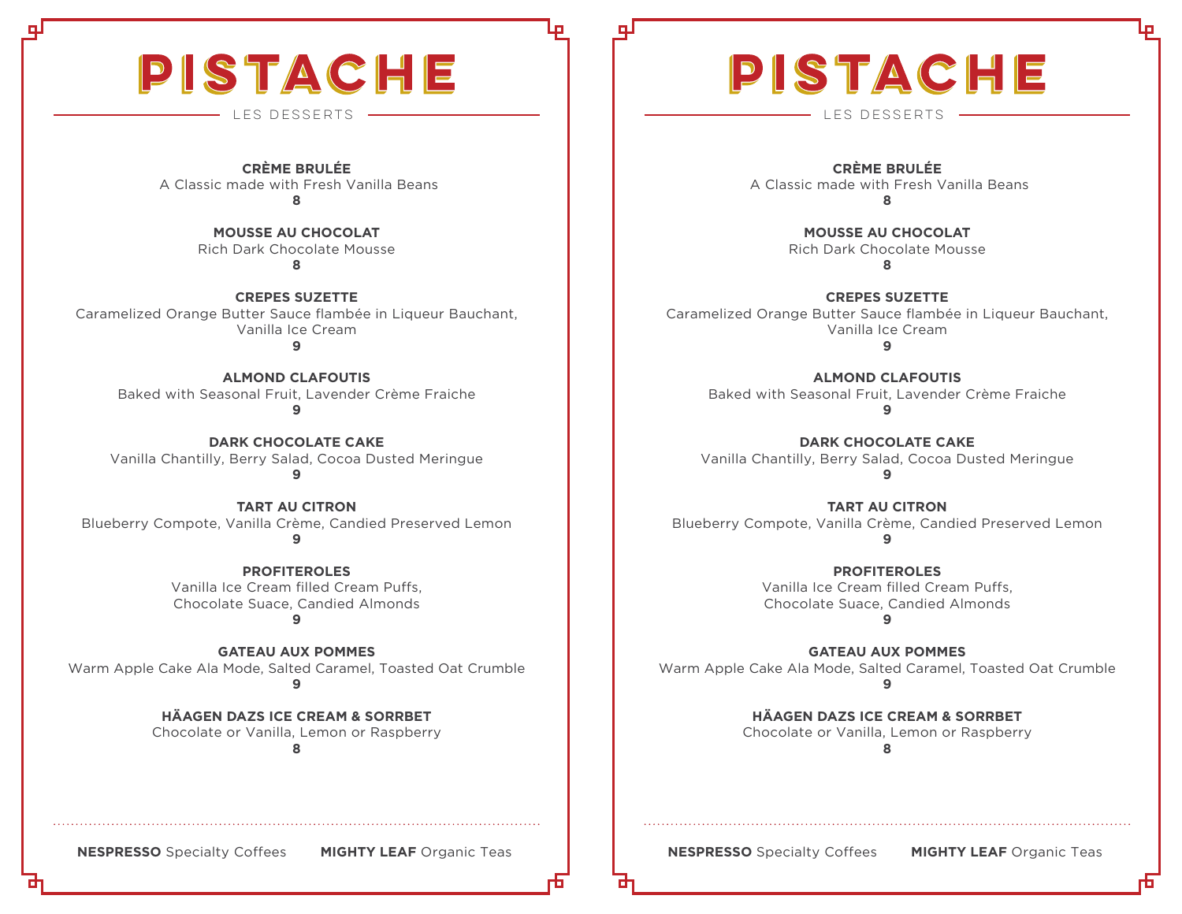## PISTACHE

**CRÈME BRULÉE** A Classic made with Fresh Vanilla Beans **8**

> **MOUSSE AU CHOCOLAT** Rich Dark Chocolate Mousse **8**

**CREPES SUZETTE** Caramelized Orange Butter Sauce flambée in Liqueur Bauchant, Vanilla Ice Cream

**9**

**ALMOND CLAFOUTIS** Baked with Seasonal Fruit, Lavender Crème Fraiche **9**

**DARK CHOCOLATE CAKE** Vanilla Chantilly, Berry Salad, Cocoa Dusted Meringue **9**

**TART AU CITRON** Blueberry Compote, Vanilla Crème, Candied Preserved Lemon **9**

> **PROFITEROLES** Vanilla Ice Cream filled Cream Puffs, Chocolate Suace, Candied Almonds

**9**

**GATEAU AUX POMMES**  Warm Apple Cake Ala Mode, Salted Caramel, Toasted Oat Crumble **9**

> **HÄAGEN DAZS ICE CREAM & SORRBET** Chocolate or Vanilla, Lemon or Raspberry **8**

# PISTACHE

LES DESSERTS LES DESSERTS

**CRÈME BRULÉE** A Classic made with Fresh Vanilla Beans **8**

> **MOUSSE AU CHOCOLAT** Rich Dark Chocolate Mousse **8**

**CREPES SUZETTE** Caramelized Orange Butter Sauce flambée in Liqueur Bauchant, Vanilla Ice Cream

**9**

**ALMOND CLAFOUTIS** Baked with Seasonal Fruit, Lavender Crème Fraiche **9**

**DARK CHOCOLATE CAKE** Vanilla Chantilly, Berry Salad, Cocoa Dusted Meringue **9**

**TART AU CITRON** Blueberry Compote, Vanilla Crème, Candied Preserved Lemon **9**

> **PROFITEROLES** Vanilla Ice Cream filled Cream Puffs, Chocolate Suace, Candied Almonds **9**

**GATEAU AUX POMMES**  Warm Apple Cake Ala Mode, Salted Caramel, Toasted Oat Crumble **9**

> **HÄAGEN DAZS ICE CREAM & SORRBET** Chocolate or Vanilla, Lemon or Raspberry **8**

**NESPRESSO** Specialty Coffees **MIGHTY LEAF** Organic Teas **Net Sepanness Algerment Sepanness** Coffees **MIGHTY LEAF** Organic Teas